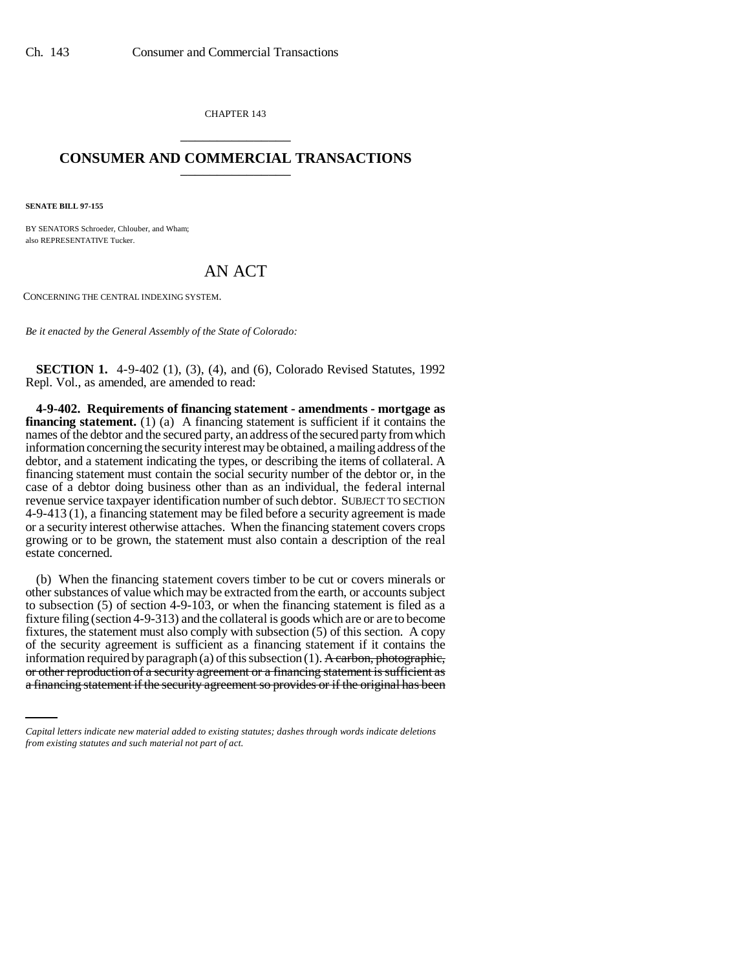CHAPTER 143 \_\_\_\_\_\_\_\_\_\_\_\_\_\_\_

## **CONSUMER AND COMMERCIAL TRANSACTIONS** \_\_\_\_\_\_\_\_\_\_\_\_\_\_\_

**SENATE BILL 97-155**

BY SENATORS Schroeder, Chlouber, and Wham; also REPRESENTATIVE Tucker.

## AN ACT

CONCERNING THE CENTRAL INDEXING SYSTEM.

*Be it enacted by the General Assembly of the State of Colorado:*

**SECTION 1.** 4-9-402 (1), (3), (4), and (6), Colorado Revised Statutes, 1992 Repl. Vol., as amended, are amended to read:

**4-9-402. Requirements of financing statement - amendments - mortgage as financing statement.** (1) (a) A financing statement is sufficient if it contains the names of the debtor and the secured party, an address of the secured party from which information concerning the security interest may be obtained, a mailing address of the debtor, and a statement indicating the types, or describing the items of collateral. A financing statement must contain the social security number of the debtor or, in the case of a debtor doing business other than as an individual, the federal internal revenue service taxpayer identification number of such debtor. SUBJECT TO SECTION 4-9-413 (1), a financing statement may be filed before a security agreement is made or a security interest otherwise attaches. When the financing statement covers crops growing or to be grown, the statement must also contain a description of the real estate concerned.

information required by paragraph (a) of this subsection (1). A carbon, photographic, (b) When the financing statement covers timber to be cut or covers minerals or other substances of value which may be extracted from the earth, or accounts subject to subsection (5) of section 4-9-103, or when the financing statement is filed as a fixture filing (section 4-9-313) and the collateral is goods which are or are to become fixtures, the statement must also comply with subsection (5) of this section. A copy of the security agreement is sufficient as a financing statement if it contains the or other reproduction of a security agreement or a financing statement is sufficient as a financing statement if the security agreement so provides or if the original has been

*Capital letters indicate new material added to existing statutes; dashes through words indicate deletions from existing statutes and such material not part of act.*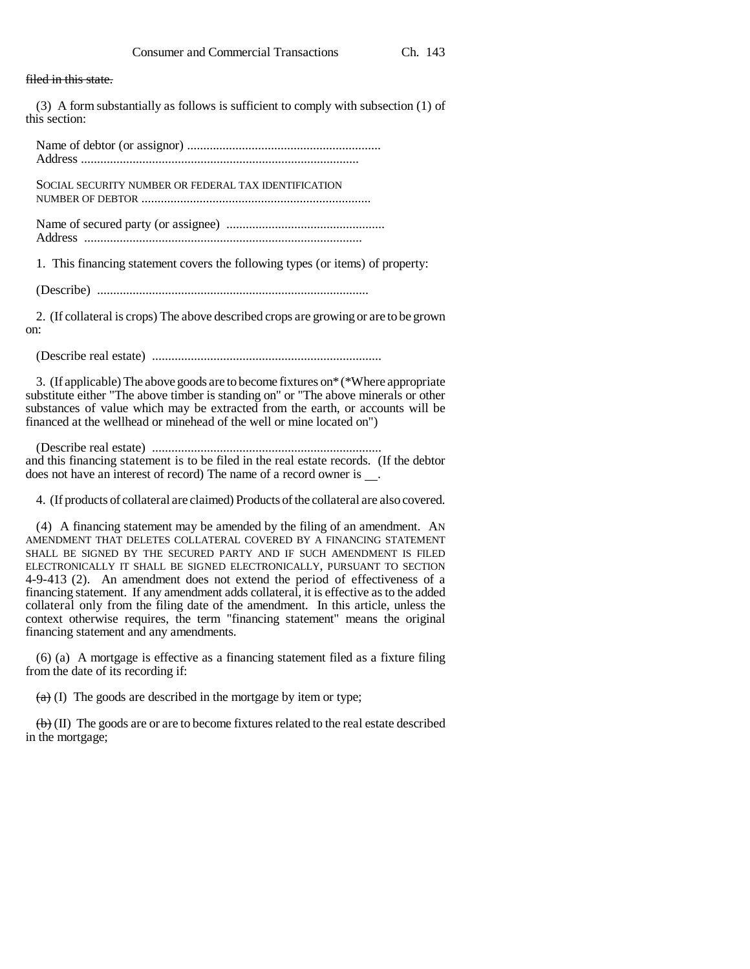filed in this state.

(3) A form substantially as follows is sufficient to comply with subsection (1) of this section:

Name of debtor (or assignor) ............................................................ Address ......................................................................................

SOCIAL SECURITY NUMBER OR FEDERAL TAX IDENTIFICATION NUMBER OF DEBTOR .......................................................................

Name of secured party (or assignee) ................................................. Address ......................................................................................

1. This financing statement covers the following types (or items) of property:

(Describe) ....................................................................................

2. (If collateral is crops) The above described crops are growing or are to be grown on:

(Describe real estate) .......................................................................

3. (If applicable) The above goods are to become fixtures on\* (\*Where appropriate substitute either "The above timber is standing on" or "The above minerals or other substances of value which may be extracted from the earth, or accounts will be financed at the wellhead or minehead of the well or mine located on")

(Describe real estate) ....................................................................... and this financing statement is to be filed in the real estate records. (If the debtor does not have an interest of record) The name of a record owner is .

4. (If products of collateral are claimed) Products of the collateral are also covered.

(4) A financing statement may be amended by the filing of an amendment. AN AMENDMENT THAT DELETES COLLATERAL COVERED BY A FINANCING STATEMENT SHALL BE SIGNED BY THE SECURED PARTY AND IF SUCH AMENDMENT IS FILED ELECTRONICALLY IT SHALL BE SIGNED ELECTRONICALLY, PURSUANT TO SECTION 4-9-413 (2). An amendment does not extend the period of effectiveness of a financing statement. If any amendment adds collateral, it is effective as to the added collateral only from the filing date of the amendment. In this article, unless the context otherwise requires, the term "financing statement" means the original financing statement and any amendments.

(6) (a) A mortgage is effective as a financing statement filed as a fixture filing from the date of its recording if:

 $(a)$  (I) The goods are described in the mortgage by item or type;

 $\left(\mathbf{b}\right)$  (II) The goods are or are to become fixtures related to the real estate described in the mortgage;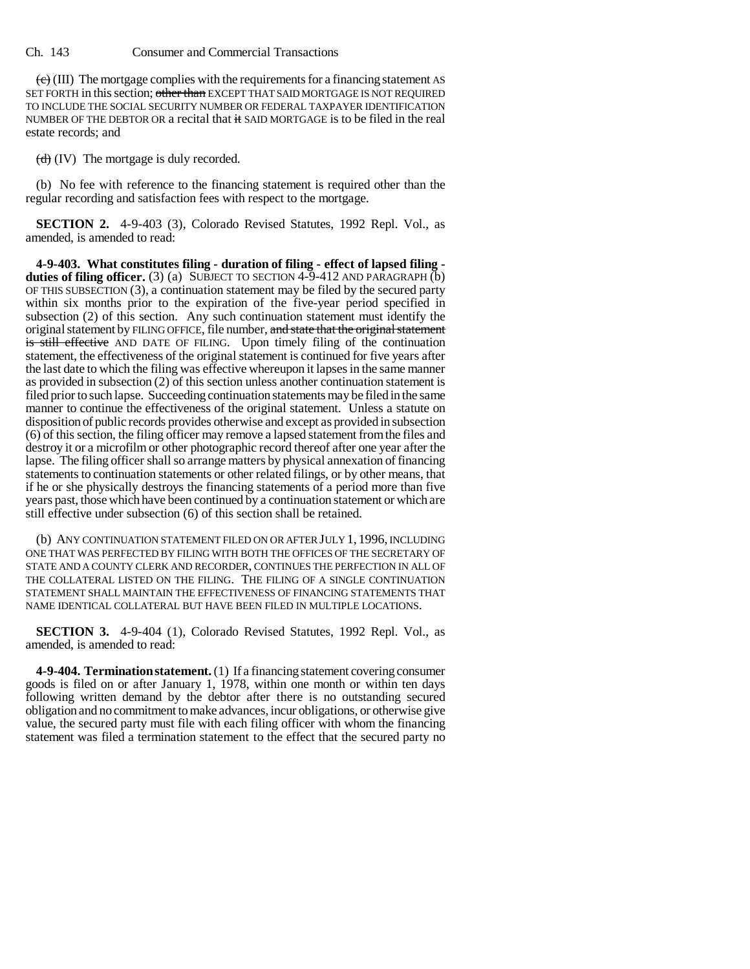Ch. 143 Consumer and Commercial Transactions

 $\langle e \rangle$  (III) The mortgage complies with the requirements for a financing statement AS SET FORTH in this section; other than EXCEPT THAT SAID MORTGAGE IS NOT REQUIRED TO INCLUDE THE SOCIAL SECURITY NUMBER OR FEDERAL TAXPAYER IDENTIFICATION NUMBER OF THE DEBTOR OR a recital that it SAID MORTGAGE is to be filed in the real estate records; and

 $(d)$  (IV) The mortgage is duly recorded.

(b) No fee with reference to the financing statement is required other than the regular recording and satisfaction fees with respect to the mortgage.

**SECTION 2.** 4-9-403 (3), Colorado Revised Statutes, 1992 Repl. Vol., as amended, is amended to read:

**4-9-403. What constitutes filing - duration of filing - effect of lapsed filing**  duties of filing officer. (3) (a) SUBJECT TO SECTION 4-9-412 AND PARAGRAPH (b) OF THIS SUBSECTION (3), a continuation statement may be filed by the secured party within six months prior to the expiration of the five-year period specified in subsection (2) of this section. Any such continuation statement must identify the original statement by FILING OFFICE, file number, and state that the original statement is still effective AND DATE OF FILING. Upon timely filing of the continuation statement, the effectiveness of the original statement is continued for five years after the last date to which the filing was effective whereupon it lapses in the same manner as provided in subsection (2) of this section unless another continuation statement is filed prior to such lapse. Succeeding continuation statements may be filed in the same manner to continue the effectiveness of the original statement. Unless a statute on disposition of public records provides otherwise and except as provided in subsection (6) of this section, the filing officer may remove a lapsed statement from the files and destroy it or a microfilm or other photographic record thereof after one year after the lapse. The filing officer shall so arrange matters by physical annexation of financing statements to continuation statements or other related filings, or by other means, that if he or she physically destroys the financing statements of a period more than five years past, those which have been continued by a continuation statement or which are still effective under subsection (6) of this section shall be retained.

(b) ANY CONTINUATION STATEMENT FILED ON OR AFTER JULY 1, 1996, INCLUDING ONE THAT WAS PERFECTED BY FILING WITH BOTH THE OFFICES OF THE SECRETARY OF STATE AND A COUNTY CLERK AND RECORDER, CONTINUES THE PERFECTION IN ALL OF THE COLLATERAL LISTED ON THE FILING. THE FILING OF A SINGLE CONTINUATION STATEMENT SHALL MAINTAIN THE EFFECTIVENESS OF FINANCING STATEMENTS THAT NAME IDENTICAL COLLATERAL BUT HAVE BEEN FILED IN MULTIPLE LOCATIONS.

**SECTION 3.** 4-9-404 (1), Colorado Revised Statutes, 1992 Repl. Vol., as amended, is amended to read:

**4-9-404. Termination statement.** (1) If a financing statement covering consumer goods is filed on or after January 1, 1978, within one month or within ten days following written demand by the debtor after there is no outstanding secured obligation and no commitment to make advances, incur obligations, or otherwise give value, the secured party must file with each filing officer with whom the financing statement was filed a termination statement to the effect that the secured party no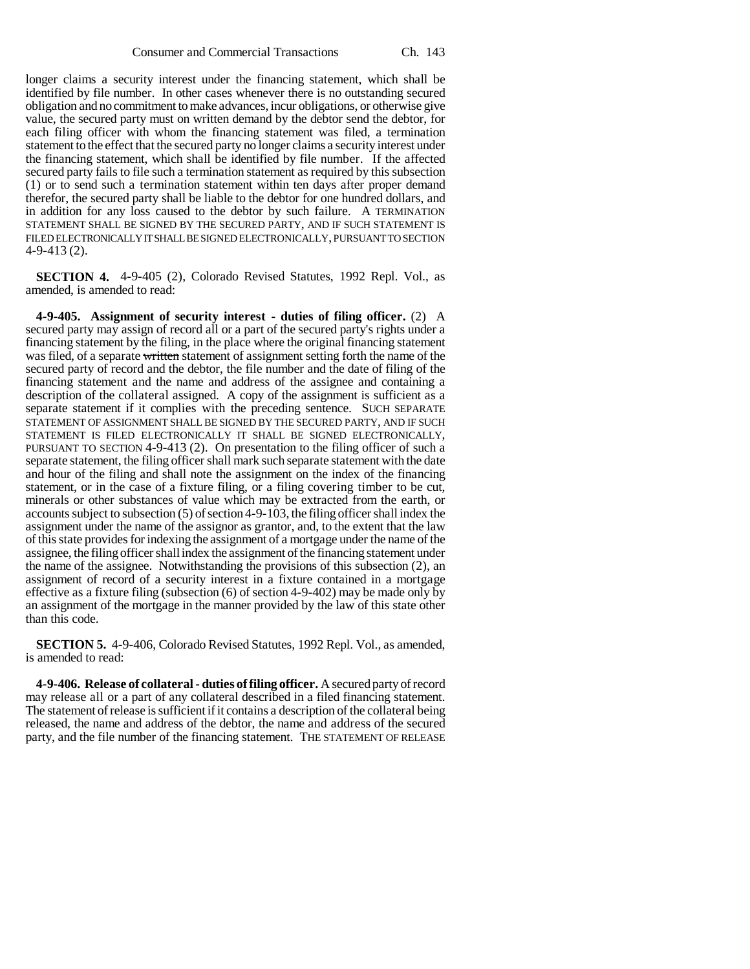longer claims a security interest under the financing statement, which shall be identified by file number. In other cases whenever there is no outstanding secured obligation and no commitment to make advances, incur obligations, or otherwise give value, the secured party must on written demand by the debtor send the debtor, for each filing officer with whom the financing statement was filed, a termination statement to the effect that the secured party no longer claims a security interest under the financing statement, which shall be identified by file number. If the affected secured party fails to file such a termination statement as required by this subsection (1) or to send such a termination statement within ten days after proper demand therefor, the secured party shall be liable to the debtor for one hundred dollars, and in addition for any loss caused to the debtor by such failure. A TERMINATION STATEMENT SHALL BE SIGNED BY THE SECURED PARTY, AND IF SUCH STATEMENT IS FILED ELECTRONICALLY IT SHALL BE SIGNED ELECTRONICALLY, PURSUANT TO SECTION 4-9-413 (2).

**SECTION 4.** 4-9-405 (2), Colorado Revised Statutes, 1992 Repl. Vol., as amended, is amended to read:

**4-9-405. Assignment of security interest - duties of filing officer.** (2) A secured party may assign of record all or a part of the secured party's rights under a financing statement by the filing, in the place where the original financing statement was filed, of a separate written statement of assignment setting forth the name of the secured party of record and the debtor, the file number and the date of filing of the financing statement and the name and address of the assignee and containing a description of the collateral assigned. A copy of the assignment is sufficient as a separate statement if it complies with the preceding sentence. SUCH SEPARATE STATEMENT OF ASSIGNMENT SHALL BE SIGNED BY THE SECURED PARTY, AND IF SUCH STATEMENT IS FILED ELECTRONICALLY IT SHALL BE SIGNED ELECTRONICALLY, PURSUANT TO SECTION 4-9-413 (2). On presentation to the filing officer of such a separate statement, the filing officer shall mark such separate statement with the date and hour of the filing and shall note the assignment on the index of the financing statement, or in the case of a fixture filing, or a filing covering timber to be cut, minerals or other substances of value which may be extracted from the earth, or accounts subject to subsection (5) of section 4-9-103, the filing officer shall index the assignment under the name of the assignor as grantor, and, to the extent that the law of this state provides for indexing the assignment of a mortgage under the name of the assignee, the filing officer shall index the assignment of the financing statement under the name of the assignee. Notwithstanding the provisions of this subsection (2), an assignment of record of a security interest in a fixture contained in a mortgage effective as a fixture filing (subsection (6) of section 4-9-402) may be made only by an assignment of the mortgage in the manner provided by the law of this state other than this code.

**SECTION 5.** 4-9-406, Colorado Revised Statutes, 1992 Repl. Vol., as amended, is amended to read:

**4-9-406. Release of collateral - duties of filing officer.** A secured party of record may release all or a part of any collateral described in a filed financing statement. The statement of release is sufficient if it contains a description of the collateral being released, the name and address of the debtor, the name and address of the secured party, and the file number of the financing statement. THE STATEMENT OF RELEASE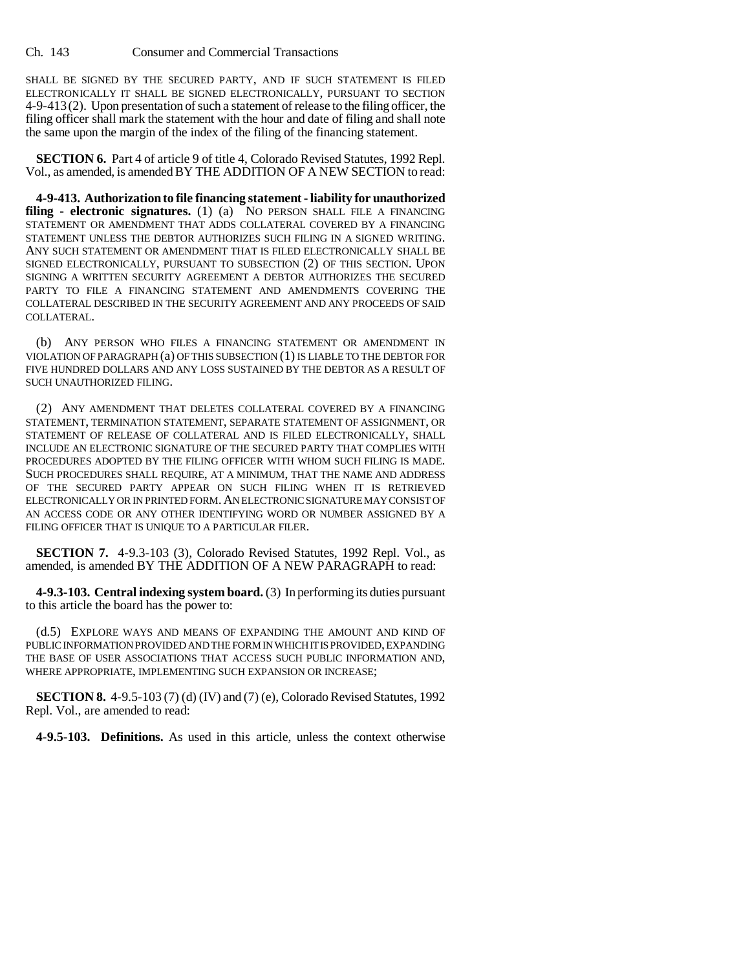Ch. 143 Consumer and Commercial Transactions

SHALL BE SIGNED BY THE SECURED PARTY, AND IF SUCH STATEMENT IS FILED ELECTRONICALLY IT SHALL BE SIGNED ELECTRONICALLY, PURSUANT TO SECTION 4-9-413(2). Upon presentation of such a statement of release to the filing officer, the filing officer shall mark the statement with the hour and date of filing and shall note the same upon the margin of the index of the filing of the financing statement.

**SECTION 6.** Part 4 of article 9 of title 4, Colorado Revised Statutes, 1992 Repl. Vol., as amended, is amended BY THE ADDITION OF A NEW SECTION to read:

**4-9-413. Authorization to file financing statement - liability for unauthorized** filing - electronic signatures. (1) (a) NO PERSON SHALL FILE A FINANCING STATEMENT OR AMENDMENT THAT ADDS COLLATERAL COVERED BY A FINANCING STATEMENT UNLESS THE DEBTOR AUTHORIZES SUCH FILING IN A SIGNED WRITING. ANY SUCH STATEMENT OR AMENDMENT THAT IS FILED ELECTRONICALLY SHALL BE SIGNED ELECTRONICALLY, PURSUANT TO SUBSECTION (2) OF THIS SECTION. UPON SIGNING A WRITTEN SECURITY AGREEMENT A DEBTOR AUTHORIZES THE SECURED PARTY TO FILE A FINANCING STATEMENT AND AMENDMENTS COVERING THE COLLATERAL DESCRIBED IN THE SECURITY AGREEMENT AND ANY PROCEEDS OF SAID COLLATERAL.

(b) ANY PERSON WHO FILES A FINANCING STATEMENT OR AMENDMENT IN VIOLATION OF PARAGRAPH (a) OF THIS SUBSECTION (1) IS LIABLE TO THE DEBTOR FOR FIVE HUNDRED DOLLARS AND ANY LOSS SUSTAINED BY THE DEBTOR AS A RESULT OF SUCH UNAUTHORIZED FILING.

(2) ANY AMENDMENT THAT DELETES COLLATERAL COVERED BY A FINANCING STATEMENT, TERMINATION STATEMENT, SEPARATE STATEMENT OF ASSIGNMENT, OR STATEMENT OF RELEASE OF COLLATERAL AND IS FILED ELECTRONICALLY, SHALL INCLUDE AN ELECTRONIC SIGNATURE OF THE SECURED PARTY THAT COMPLIES WITH PROCEDURES ADOPTED BY THE FILING OFFICER WITH WHOM SUCH FILING IS MADE. SUCH PROCEDURES SHALL REQUIRE, AT A MINIMUM, THAT THE NAME AND ADDRESS OF THE SECURED PARTY APPEAR ON SUCH FILING WHEN IT IS RETRIEVED ELECTRONICALLY OR IN PRINTED FORM.AN ELECTRONIC SIGNATURE MAY CONSIST OF AN ACCESS CODE OR ANY OTHER IDENTIFYING WORD OR NUMBER ASSIGNED BY A FILING OFFICER THAT IS UNIQUE TO A PARTICULAR FILER.

**SECTION 7.** 4-9.3-103 (3), Colorado Revised Statutes, 1992 Repl. Vol., as amended, is amended BY THE ADDITION OF A NEW PARAGRAPH to read:

**4-9.3-103. Central indexing system board.** (3) In performing its duties pursuant to this article the board has the power to:

(d.5) EXPLORE WAYS AND MEANS OF EXPANDING THE AMOUNT AND KIND OF PUBLIC INFORMATION PROVIDED AND THE FORM IN WHICH IT IS PROVIDED, EXPANDING THE BASE OF USER ASSOCIATIONS THAT ACCESS SUCH PUBLIC INFORMATION AND, WHERE APPROPRIATE, IMPLEMENTING SUCH EXPANSION OR INCREASE;

**SECTION 8.** 4-9.5-103 (7) (d) (IV) and (7) (e), Colorado Revised Statutes, 1992 Repl. Vol., are amended to read:

**4-9.5-103. Definitions.** As used in this article, unless the context otherwise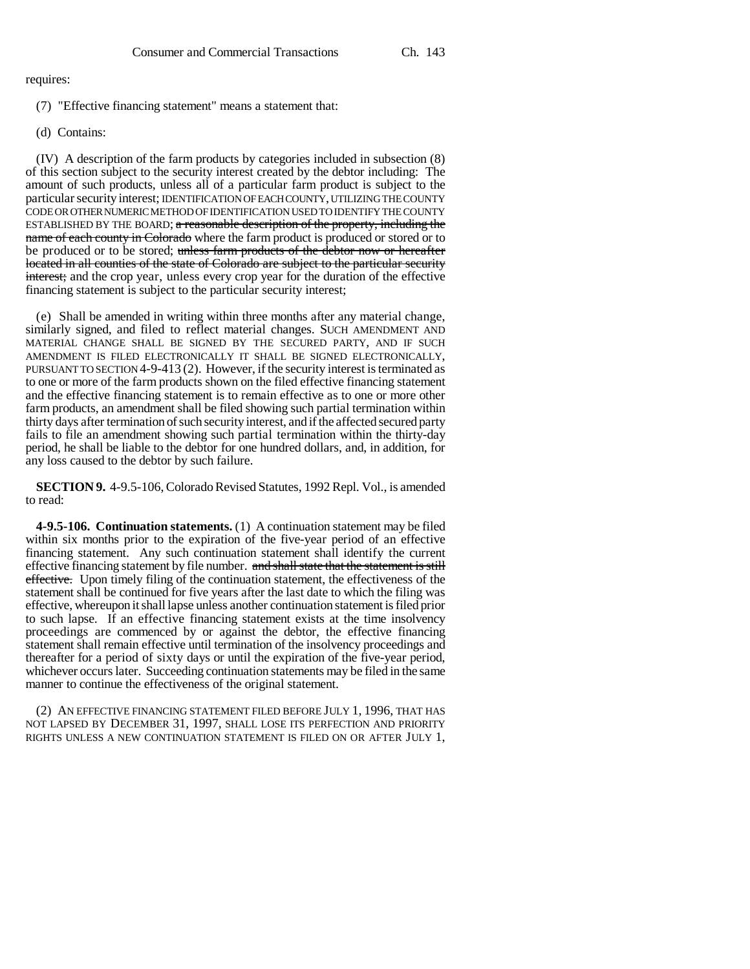requires:

- (7) "Effective financing statement" means a statement that:
- (d) Contains:

(IV) A description of the farm products by categories included in subsection (8) of this section subject to the security interest created by the debtor including: The amount of such products, unless all of a particular farm product is subject to the particular security interest; IDENTIFICATION OF EACH COUNTY, UTILIZING THE COUNTY CODE OR OTHER NUMERIC METHOD OF IDENTIFICATION USED TO IDENTIFY THE COUNTY ESTABLISHED BY THE BOARD; a reasonable description of the property, including the name of each county in Colorado where the farm product is produced or stored or to be produced or to be stored; unless farm products of the debtor now or hereafter located in all counties of the state of Colorado are subject to the particular security interest; and the crop year, unless every crop year for the duration of the effective financing statement is subject to the particular security interest;

(e) Shall be amended in writing within three months after any material change, similarly signed, and filed to reflect material changes. SUCH AMENDMENT AND MATERIAL CHANGE SHALL BE SIGNED BY THE SECURED PARTY, AND IF SUCH AMENDMENT IS FILED ELECTRONICALLY IT SHALL BE SIGNED ELECTRONICALLY, PURSUANT TO SECTION 4-9-413 (2). However, if the security interest is terminated as to one or more of the farm products shown on the filed effective financing statement and the effective financing statement is to remain effective as to one or more other farm products, an amendment shall be filed showing such partial termination within thirty days after termination of such security interest, and if the affected secured party fails to file an amendment showing such partial termination within the thirty-day period, he shall be liable to the debtor for one hundred dollars, and, in addition, for any loss caused to the debtor by such failure.

**SECTION 9.** 4-9.5-106, Colorado Revised Statutes, 1992 Repl. Vol., is amended to read:

**4-9.5-106. Continuation statements.** (1) A continuation statement may be filed within six months prior to the expiration of the five-year period of an effective financing statement. Any such continuation statement shall identify the current effective financing statement by file number. and shall state that the statement is still effective. Upon timely filing of the continuation statement, the effectiveness of the statement shall be continued for five years after the last date to which the filing was effective, whereupon it shall lapse unless another continuation statement is filed prior to such lapse. If an effective financing statement exists at the time insolvency proceedings are commenced by or against the debtor, the effective financing statement shall remain effective until termination of the insolvency proceedings and thereafter for a period of sixty days or until the expiration of the five-year period, whichever occurs later. Succeeding continuation statements may be filed in the same manner to continue the effectiveness of the original statement.

(2) AN EFFECTIVE FINANCING STATEMENT FILED BEFORE JULY 1, 1996, THAT HAS NOT LAPSED BY DECEMBER 31, 1997, SHALL LOSE ITS PERFECTION AND PRIORITY RIGHTS UNLESS A NEW CONTINUATION STATEMENT IS FILED ON OR AFTER JULY 1,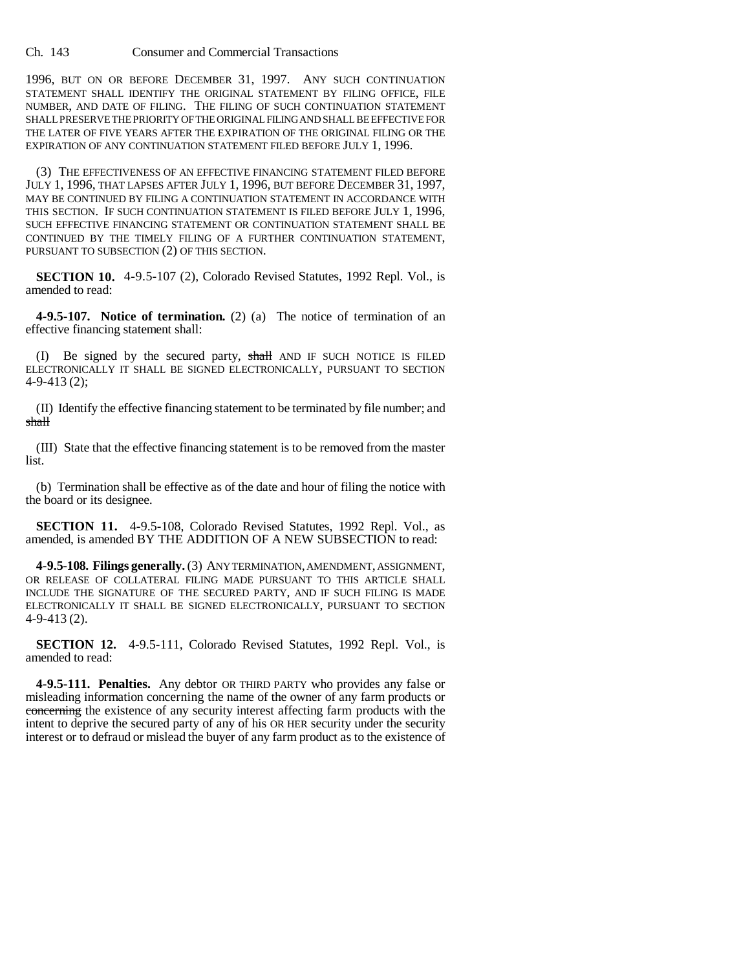Ch. 143 Consumer and Commercial Transactions

1996, BUT ON OR BEFORE DECEMBER 31, 1997. ANY SUCH CONTINUATION STATEMENT SHALL IDENTIFY THE ORIGINAL STATEMENT BY FILING OFFICE, FILE NUMBER, AND DATE OF FILING. THE FILING OF SUCH CONTINUATION STATEMENT SHALL PRESERVE THE PRIORITY OF THE ORIGINAL FILING AND SHALL BE EFFECTIVE FOR THE LATER OF FIVE YEARS AFTER THE EXPIRATION OF THE ORIGINAL FILING OR THE EXPIRATION OF ANY CONTINUATION STATEMENT FILED BEFORE JULY 1, 1996.

(3) THE EFFECTIVENESS OF AN EFFECTIVE FINANCING STATEMENT FILED BEFORE JULY 1, 1996, THAT LAPSES AFTER JULY 1, 1996, BUT BEFORE DECEMBER 31, 1997, MAY BE CONTINUED BY FILING A CONTINUATION STATEMENT IN ACCORDANCE WITH THIS SECTION. IF SUCH CONTINUATION STATEMENT IS FILED BEFORE JULY 1, 1996, SUCH EFFECTIVE FINANCING STATEMENT OR CONTINUATION STATEMENT SHALL BE CONTINUED BY THE TIMELY FILING OF A FURTHER CONTINUATION STATEMENT, PURSUANT TO SUBSECTION (2) OF THIS SECTION.

**SECTION 10.** 4-9.5-107 (2), Colorado Revised Statutes, 1992 Repl. Vol., is amended to read:

**4-9.5-107. Notice of termination.** (2) (a) The notice of termination of an effective financing statement shall:

(I) Be signed by the secured party, shall AND IF SUCH NOTICE IS FILED ELECTRONICALLY IT SHALL BE SIGNED ELECTRONICALLY, PURSUANT TO SECTION 4-9-413 (2);

(II) Identify the effective financing statement to be terminated by file number; and shall

(III) State that the effective financing statement is to be removed from the master list.

(b) Termination shall be effective as of the date and hour of filing the notice with the board or its designee.

**SECTION 11.** 4-9.5-108, Colorado Revised Statutes, 1992 Repl. Vol., as amended, is amended BY THE ADDITION OF A NEW SUBSECTION to read:

**4-9.5-108. Filings generally.** (3) ANY TERMINATION, AMENDMENT, ASSIGNMENT, OR RELEASE OF COLLATERAL FILING MADE PURSUANT TO THIS ARTICLE SHALL INCLUDE THE SIGNATURE OF THE SECURED PARTY, AND IF SUCH FILING IS MADE ELECTRONICALLY IT SHALL BE SIGNED ELECTRONICALLY, PURSUANT TO SECTION 4-9-413 (2).

**SECTION 12.** 4-9.5-111, Colorado Revised Statutes, 1992 Repl. Vol., is amended to read:

**4-9.5-111. Penalties.** Any debtor OR THIRD PARTY who provides any false or misleading information concerning the name of the owner of any farm products or concerning the existence of any security interest affecting farm products with the intent to deprive the secured party of any of his OR HER security under the security interest or to defraud or mislead the buyer of any farm product as to the existence of